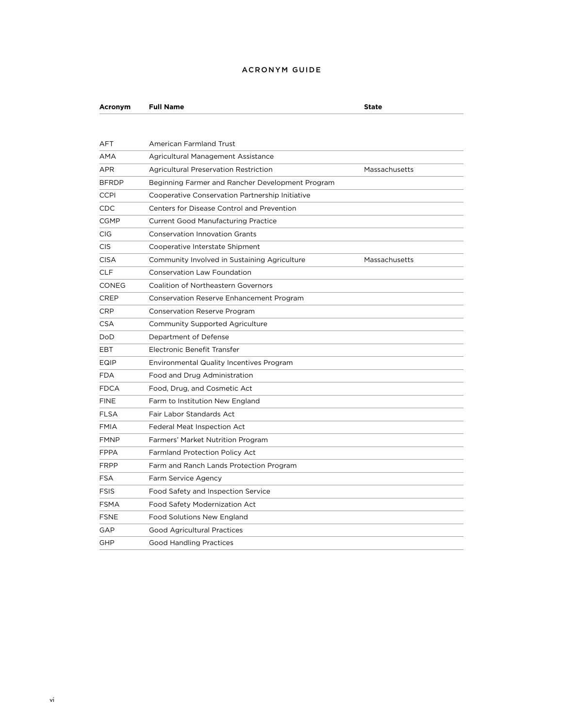## ACRONYM GUIDE

**Acronym Full Name State**

| <b>AFT</b>   | <b>American Farmland Trust</b>                   |               |
|--------------|--------------------------------------------------|---------------|
| AMA          | Agricultural Management Assistance               |               |
| <b>APR</b>   | <b>Agricultural Preservation Restriction</b>     | Massachusetts |
| <b>BFRDP</b> | Beginning Farmer and Rancher Development Program |               |
| <b>CCPI</b>  | Cooperative Conservation Partnership Initiative  |               |
| CDC          | Centers for Disease Control and Prevention       |               |
| <b>CGMP</b>  | <b>Current Good Manufacturing Practice</b>       |               |
| <b>CIG</b>   | <b>Conservation Innovation Grants</b>            |               |
| <b>CIS</b>   | Cooperative Interstate Shipment                  |               |
| <b>CISA</b>  | Community Involved in Sustaining Agriculture     | Massachusetts |
| <b>CLF</b>   | <b>Conservation Law Foundation</b>               |               |
| CONEG        | <b>Coalition of Northeastern Governors</b>       |               |
| <b>CREP</b>  | Conservation Reserve Enhancement Program         |               |
| <b>CRP</b>   | <b>Conservation Reserve Program</b>              |               |
| <b>CSA</b>   | Community Supported Agriculture                  |               |
| DoD.         | Department of Defense                            |               |
| EBT          | Electronic Benefit Transfer                      |               |
| EQIP         | <b>Environmental Quality Incentives Program</b>  |               |
| <b>FDA</b>   | Food and Drug Administration                     |               |
| <b>FDCA</b>  | Food, Drug, and Cosmetic Act                     |               |
| <b>FINE</b>  | Farm to Institution New England                  |               |
| <b>FLSA</b>  | Fair Labor Standards Act                         |               |
| <b>FMIA</b>  | Federal Meat Inspection Act                      |               |
| <b>FMNP</b>  | Farmers' Market Nutrition Program                |               |
| <b>FPPA</b>  | <b>Farmland Protection Policy Act</b>            |               |
| <b>FRPP</b>  | Farm and Ranch Lands Protection Program          |               |
| <b>FSA</b>   | Farm Service Agency                              |               |
| <b>FSIS</b>  | Food Safety and Inspection Service               |               |
| <b>FSMA</b>  | Food Safety Modernization Act                    |               |
| <b>FSNE</b>  | Food Solutions New England                       |               |
| GAP          | <b>Good Agricultural Practices</b>               |               |
| <b>GHP</b>   | <b>Good Handling Practices</b>                   |               |